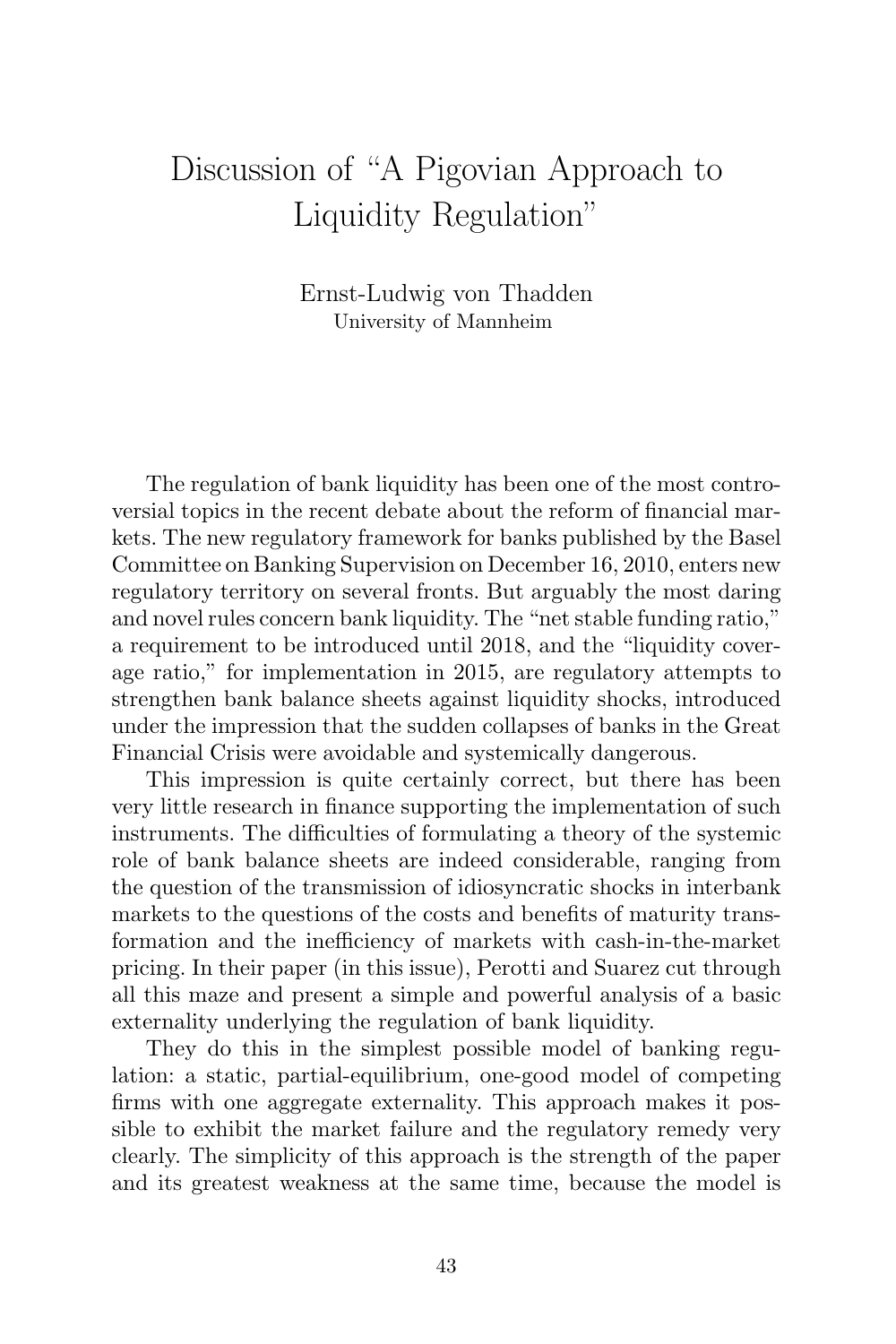## Discussion of "A Pigovian Approach to Liquidity Regulation"

Ernst-Ludwig von Thadden University of Mannheim

The regulation of bank liquidity has been one of the most controversial topics in the recent debate about the reform of financial markets. The new regulatory framework for banks published by the Basel Committee on Banking Supervision on December 16, 2010, enters new regulatory territory on several fronts. But arguably the most daring and novel rules concern bank liquidity. The "net stable funding ratio," a requirement to be introduced until 2018, and the "liquidity coverage ratio," for implementation in 2015, are regulatory attempts to strengthen bank balance sheets against liquidity shocks, introduced under the impression that the sudden collapses of banks in the Great Financial Crisis were avoidable and systemically dangerous.

This impression is quite certainly correct, but there has been very little research in finance supporting the implementation of such instruments. The difficulties of formulating a theory of the systemic role of bank balance sheets are indeed considerable, ranging from the question of the transmission of idiosyncratic shocks in interbank markets to the questions of the costs and benefits of maturity transformation and the inefficiency of markets with cash-in-the-market pricing. In their paper (in this issue), Perotti and Suarez cut through all this maze and present a simple and powerful analysis of a basic externality underlying the regulation of bank liquidity.

They do this in the simplest possible model of banking regulation: a static, partial-equilibrium, one-good model of competing firms with one aggregate externality. This approach makes it possible to exhibit the market failure and the regulatory remedy very clearly. The simplicity of this approach is the strength of the paper and its greatest weakness at the same time, because the model is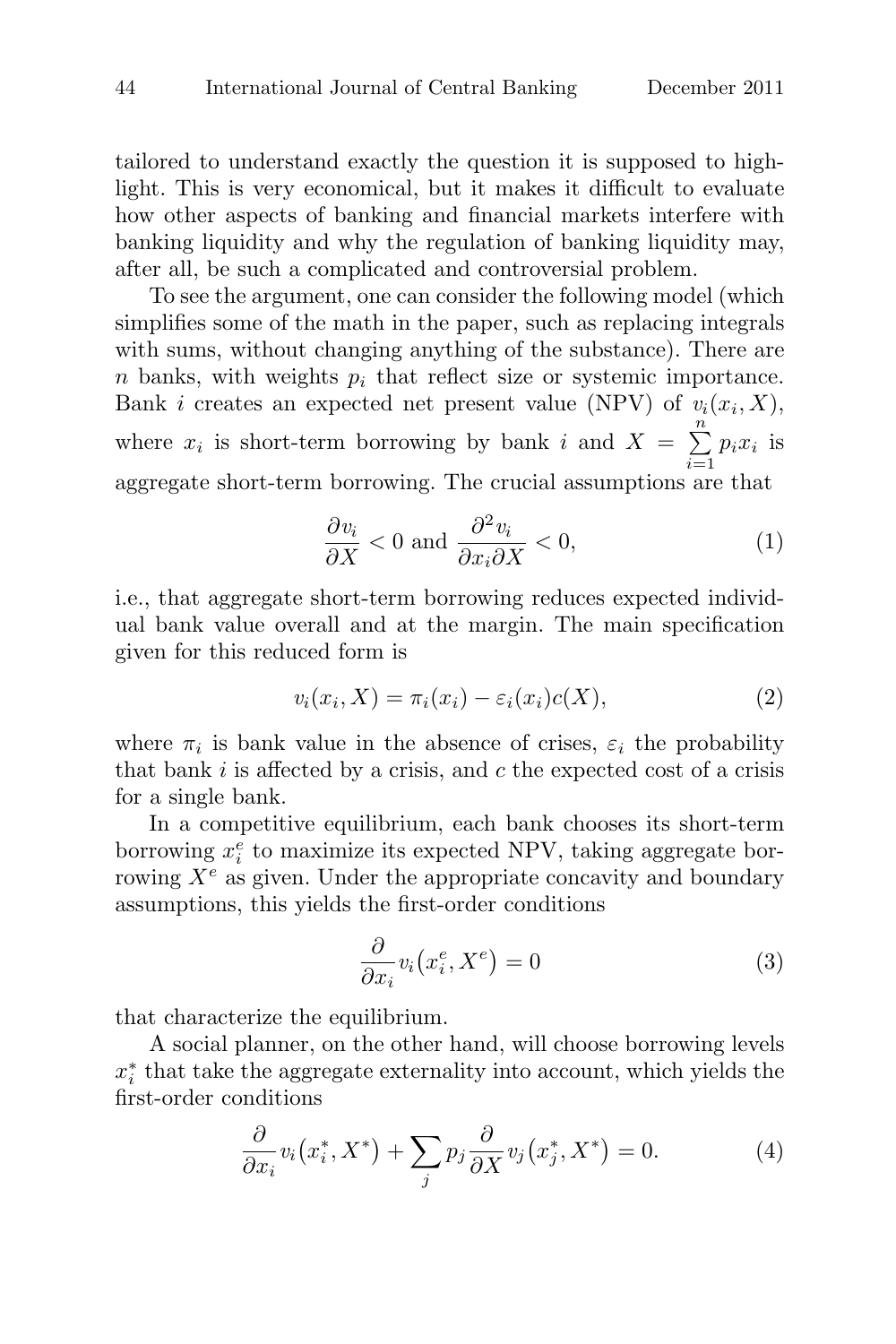tailored to understand exactly the question it is supposed to highlight. This is very economical, but it makes it difficult to evaluate how other aspects of banking and financial markets interfere with banking liquidity and why the regulation of banking liquidity may, after all, be such a complicated and controversial problem.

To see the argument, one can consider the following model (which simplifies some of the math in the paper, such as replacing integrals with sums, without changing anything of the substance). There are  $n$  banks, with weights  $p_i$  that reflect size or systemic importance. Bank *i* creates an expected net present value (NPV) of  $v_i(x_i, X)$ , To see the argument, one can consider the following model<br>simplifies some of the math in the paper, such as replacing in<br>with sums, without changing anything of the substance). Th<br>n banks, with weights  $p_i$  that reflect s n  $i=1$  $p_ix_i$  is aggregate short-term borrowing. The crucial assumptions are that

$$
\frac{\partial v_i}{\partial X} < 0 \text{ and } \frac{\partial^2 v_i}{\partial x_i \partial X} < 0,\tag{1}
$$

i.e., that aggregate short-term borrowing reduces expected individual bank value overall and at the margin. The main specification given for this reduced form is

$$
v_i(x_i, X) = \pi_i(x_i) - \varepsilon_i(x_i)c(X), \qquad (2)
$$

where  $\pi_i$  is bank value in the absence of crises,  $\varepsilon_i$  the probability that bank  $i$  is affected by a crisis, and  $c$  the expected cost of a crisis for a single bank.

In a competitive equilibrium, each bank chooses its short-term borrowing  $x_i^e$  to maximize its expected NPV, taking aggregate borrowing  $X^e$  as given. Under the appropriate concavity and boundary assumptions, this yields the first-order conditions  $\begin{array}{c} \text{, each} \\ \text{preted} \\ \text{propprop} \\ \text{-order} \\ \frac{e}{i}, X^e \end{array}$ 

$$
\frac{\partial}{\partial x_i} v_i(x_i^e, X^e) = 0 \tag{3}
$$

that characterize the equilibrium.

A social planner, on the other hand, will choose borrowing levels  $x_i^*$  that take the aggregate externality into account, which yields the first-order conditions i equilibrium.<br>
on the other hand, will choose<br>
egate externality into account<br>  $\chi_i^*$ ,  $X^*$ ) +  $\sum p_j \frac{\partial}{\partial Y} v_j(x_j^*, X^*)$ 

$$
\frac{\partial}{\partial x_i} v_i(x_i^*, X^*) + \sum_j p_j \frac{\partial}{\partial X} v_j(x_j^*, X^*) = 0.
$$
 (4)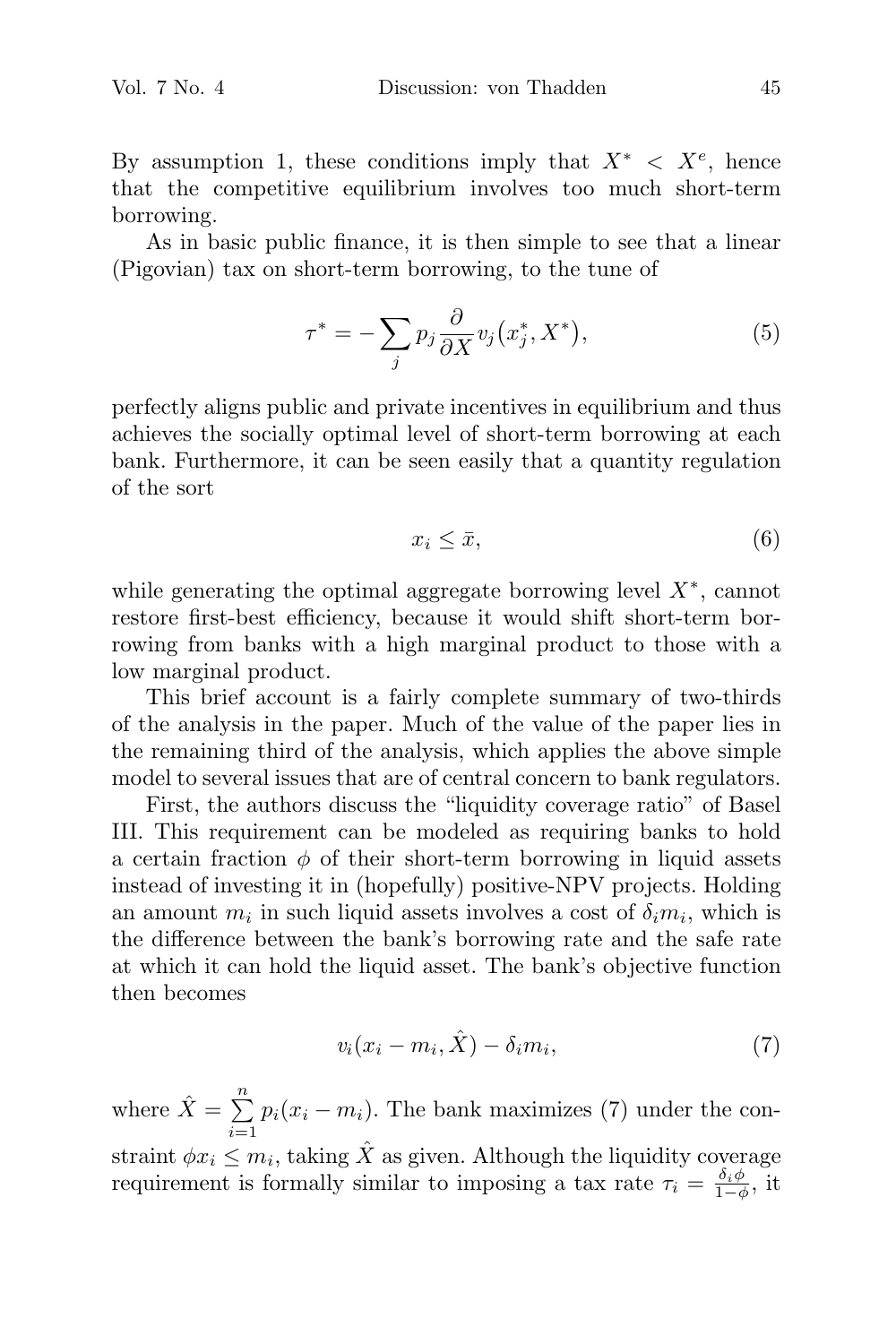By assumption 1, these conditions imply that  $X^* \leq X^e$ , hence that the competitive equilibrium involves too much short-term borrowing.

As in basic public finance, it is then simple to see that a linear (Pigovian) tax on short-term borrowing, to the tune of ves to<br>simple<br>to the<br> $\stackrel{*}{i}, X^*$ )

$$
\tau^* = -\sum_j p_j \frac{\partial}{\partial X} v_j(x_j^*, X^*),\tag{5}
$$

perfectly aligns public and private incentives in equilibrium and thus achieves the socially optimal level of short-term borrowing at each bank. Furthermore, it can be seen easily that a quantity regulation of the sort

$$
x_i \le \bar{x},\tag{6}
$$

while generating the optimal aggregate borrowing level  $X^*$ , cannot restore first-best efficiency, because it would shift short-term borrowing from banks with a high marginal product to those with a low marginal product.

This brief account is a fairly complete summary of two-thirds of the analysis in the paper. Much of the value of the paper lies in the remaining third of the analysis, which applies the above simple model to several issues that are of central concern to bank regulators.

First, the authors discuss the "liquidity coverage ratio" of Basel III. This requirement can be modeled as requiring banks to hold a certain fraction  $\phi$  of their short-term borrowing in liquid assets instead of investing it in (hopefully) positive-NPV projects. Holding an amount  $m_i$  in such liquid assets involves a cost of  $\delta_i m_i$ , which is the difference between the bank's borrowing rate and the safe rate at which it can hold the liquid asset. The bank's objective function then becomes at which it can<br>then becomes<br>where  $\hat{X} = \sum^{n}$ 

$$
v_i(x_i - m_i, \hat{X}) - \delta_i m_i, \tag{7}
$$

n  $i=1$  $p_i(x_i - m_i)$ . The bank maximizes (7) under the constraint  $\phi x_i \leq m_i$ , taking  $\hat{X}$  as given. Although the liquidity coverage requirement is formally similar to imposing a tax rate  $\tau_i = \frac{\delta_i \phi}{1-\phi}$ , it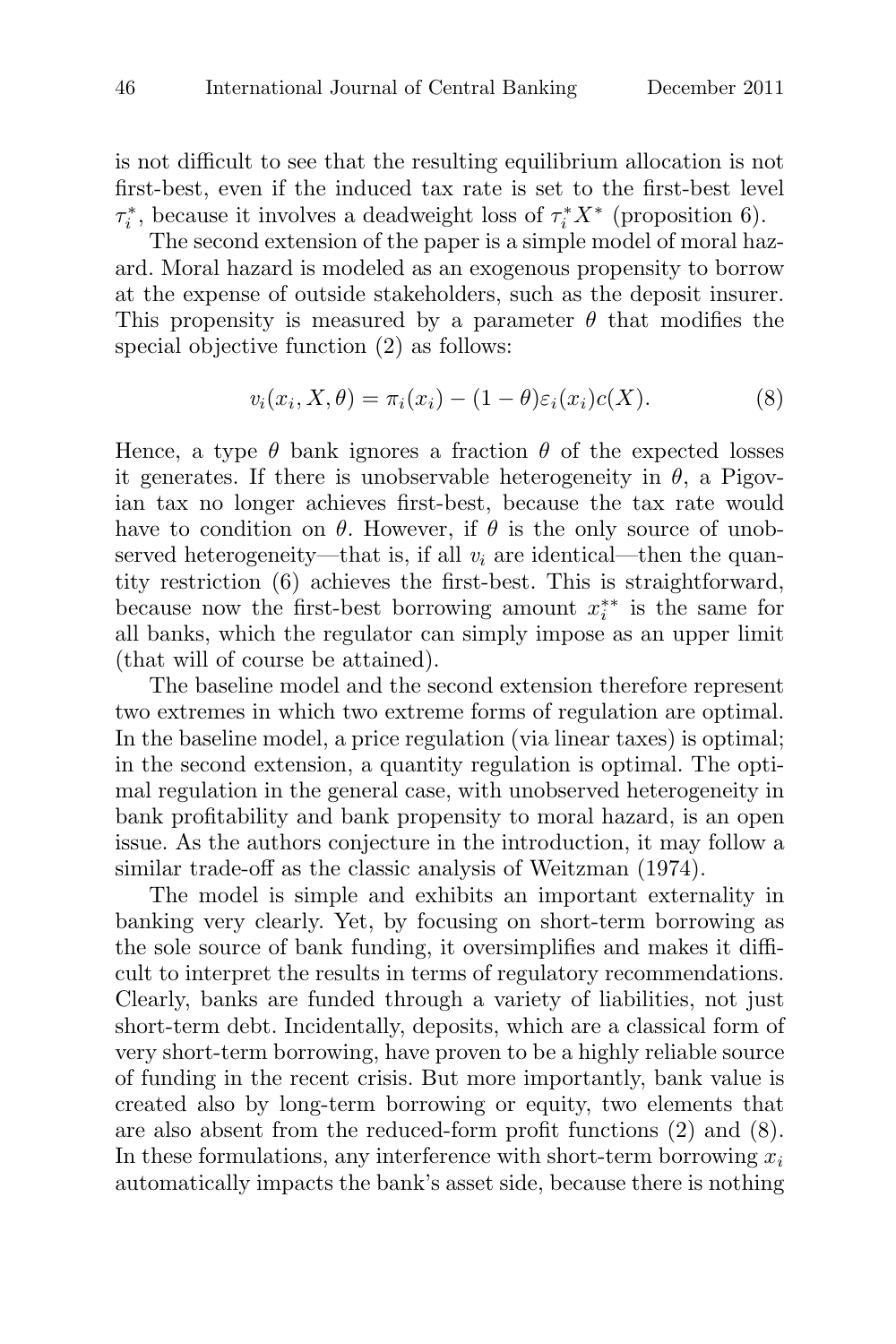is not difficult to see that the resulting equilibrium allocation is not first-best, even if the induced tax rate is set to the first-best level  $\tau_i^*$ , because it involves a deadweight loss of  $\tau_i^* X^*$  (proposition 6).

The second extension of the paper is a simple model of moral hazard. Moral hazard is modeled as an exogenous propensity to borrow at the expense of outside stakeholders, such as the deposit insurer. This propensity is measured by a parameter  $\theta$  that modifies the special objective function (2) as follows:

$$
v_i(x_i, X, \theta) = \pi_i(x_i) - (1 - \theta)\varepsilon_i(x_i)c(X).
$$
\n(8)

Hence, a type  $\theta$  bank ignores a fraction  $\theta$  of the expected losses it generates. If there is unobservable heterogeneity in  $\theta$ , a Pigovian tax no longer achieves first-best, because the tax rate would have to condition on  $\theta$ . However, if  $\theta$  is the only source of unobserved heterogeneity—that is, if all  $v_i$  are identical—then the quantity restriction (6) achieves the first-best. This is straightforward, because now the first-best borrowing amount  $x_i^{**}$  is the same for all banks, which the regulator can simply impose as an upper limit (that will of course be attained).

The baseline model and the second extension therefore represent two extremes in which two extreme forms of regulation are optimal. In the baseline model, a price regulation (via linear taxes) is optimal; in the second extension, a quantity regulation is optimal. The optimal regulation in the general case, with unobserved heterogeneity in bank profitability and bank propensity to moral hazard, is an open issue. As the authors conjecture in the introduction, it may follow a similar trade-off as the classic analysis of Weitzman (1974).

The model is simple and exhibits an important externality in banking very clearly. Yet, by focusing on short-term borrowing as the sole source of bank funding, it oversimplifies and makes it difficult to interpret the results in terms of regulatory recommendations. Clearly, banks are funded through a variety of liabilities, not just short-term debt. Incidentally, deposits, which are a classical form of very short-term borrowing, have proven to be a highly reliable source of funding in the recent crisis. But more importantly, bank value is created also by long-term borrowing or equity, two elements that are also absent from the reduced-form profit functions (2) and (8). In these formulations, any interference with short-term borrowing  $x_i$ automatically impacts the bank's asset side, because there is nothing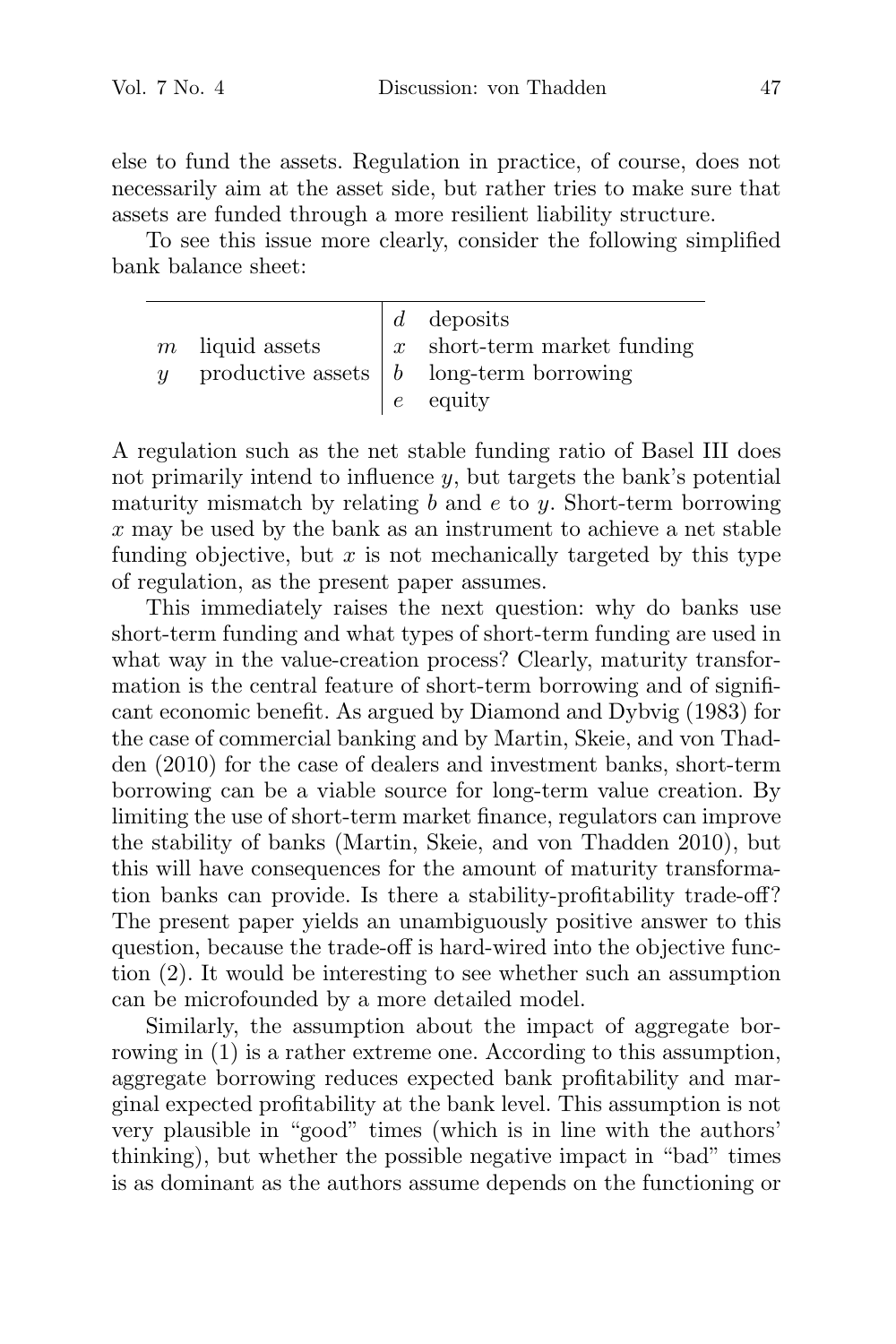else to fund the assets. Regulation in practice, of course, does not necessarily aim at the asset side, but rather tries to make sure that assets are funded through a more resilient liability structure.

To see this issue more clearly, consider the following simplified bank balance sheet:

| $m$ liquid assets | $d$ deposits<br>$\vert x \vert$ short-term market funding<br>productive assets $\begin{bmatrix} b & \text{long-term borrowing} \end{bmatrix}$<br>$e$ equity |
|-------------------|-------------------------------------------------------------------------------------------------------------------------------------------------------------|
|                   |                                                                                                                                                             |

A regulation such as the net stable funding ratio of Basel III does not primarily intend to influence  $y$ , but targets the bank's potential maturity mismatch by relating  $b$  and  $e$  to  $y$ . Short-term borrowing  $x$  may be used by the bank as an instrument to achieve a net stable funding objective, but  $x$  is not mechanically targeted by this type of regulation, as the present paper assumes.

This immediately raises the next question: why do banks use short-term funding and what types of short-term funding are used in what way in the value-creation process? Clearly, maturity transformation is the central feature of short-term borrowing and of significant economic benefit. As argued by Diamond and Dybvig (1983) for the case of commercial banking and by Martin, Skeie, and von Thadden (2010) for the case of dealers and investment banks, short-term borrowing can be a viable source for long-term value creation. By limiting the use of short-term market finance, regulators can improve the stability of banks (Martin, Skeie, and von Thadden 2010), but this will have consequences for the amount of maturity transformation banks can provide. Is there a stability-profitability trade-off? The present paper yields an unambiguously positive answer to this question, because the trade-off is hard-wired into the objective function (2). It would be interesting to see whether such an assumption can be microfounded by a more detailed model.

Similarly, the assumption about the impact of aggregate borrowing in (1) is a rather extreme one. According to this assumption, aggregate borrowing reduces expected bank profitability and marginal expected profitability at the bank level. This assumption is not very plausible in "good" times (which is in line with the authors' thinking), but whether the possible negative impact in "bad" times is as dominant as the authors assume depends on the functioning or